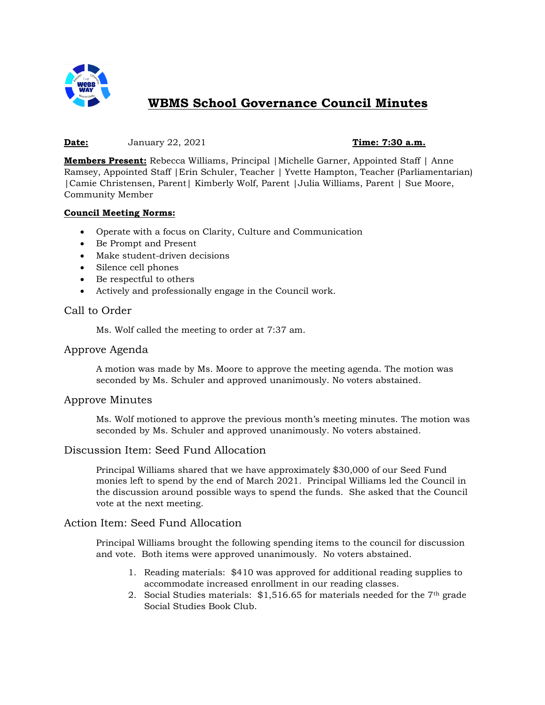

# **WBMS School Governance Council Minutes**

#### **Date:** January 22, 2021 **Time: 7:30 a.m.**

**Members Present:** Rebecca Williams, Principal |Michelle Garner, Appointed Staff | Anne Ramsey, Appointed Staff |Erin Schuler, Teacher | Yvette Hampton, Teacher (Parliamentarian) |Camie Christensen, Parent| Kimberly Wolf, Parent |Julia Williams, Parent | Sue Moore, Community Member

#### **Council Meeting Norms:**

- Operate with a focus on Clarity, Culture and Communication
- Be Prompt and Present
- Make student-driven decisions
- Silence cell phones
- Be respectful to others
- Actively and professionally engage in the Council work.

#### Call to Order

Ms. Wolf called the meeting to order at 7:37 am.

#### Approve Agenda

A motion was made by Ms. Moore to approve the meeting agenda. The motion was seconded by Ms. Schuler and approved unanimously. No voters abstained.

#### Approve Minutes

Ms. Wolf motioned to approve the previous month's meeting minutes. The motion was seconded by Ms. Schuler and approved unanimously. No voters abstained.

### Discussion Item: Seed Fund Allocation

Principal Williams shared that we have approximately \$30,000 of our Seed Fund monies left to spend by the end of March 2021. Principal Williams led the Council in the discussion around possible ways to spend the funds. She asked that the Council vote at the next meeting.

#### Action Item: Seed Fund Allocation

Principal Williams brought the following spending items to the council for discussion and vote. Both items were approved unanimously. No voters abstained.

- 1. Reading materials: \$410 was approved for additional reading supplies to accommodate increased enrollment in our reading classes.
- 2. Social Studies materials: \$1,516.65 for materials needed for the 7th grade Social Studies Book Club.